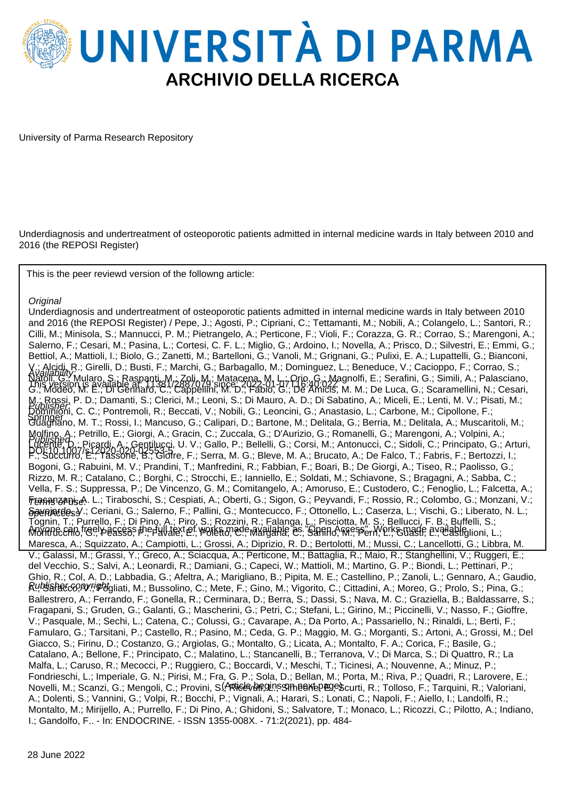

University of Parma Research Repository

Underdiagnosis and undertreatment of osteoporotic patients admitted in internal medicine wards in Italy between 2010 and 2016 (the REPOSI Register)

This is the peer reviewd version of the followng article:

#### **Original**

Underdiagnosis and undertreatment of osteoporotic patients admitted in internal medicine wards in Italy between 2010 and 2016 (the REPOSI Register) / Pepe, J.; Agosti, P.; Cipriani, C.; Tettamanti, M.; Nobili, A.; Colangelo, L.; Santori, R.; Cilli, M.; Minisola, S.; Mannucci, P. M.; Pietrangelo, A.; Perticone, F.; Violi, F.; Corazza, G. R.; Corrao, S.; Marengoni, A.; Salerno, F.; Cesari, M.; Pasina, L.; Cortesi, C. F. L.; Miglio, G.; Ardoino, I.; Novella, A.; Prisco, D.; Silvestri, E.; Emmi, G.; Bettiol, A.; Mattioli, I.; Biolo, G.; Zanetti, M.; Bartelloni, G.; Vanoli, M.; Grignani, G.; Pulixi, E. A.; Lupattelli, G.; Bianconi, V.; Alcidi, R.; Girelli, D.; Busti, F.; Marchi, G.; Barbagallo, M.; Dominguez, L.; Beneduce, V.; Cacioppo, F.; Corrao, S.; Natoli, G.; Mularo, S.; Raspanti, M.; Zoli, M.; Matacena, M. L.; Orio, G.; Magnolfi, E.; Serafini, G.; Simili, A.; Palasciano, G.; Modeo, M. E.; Di Gennaro, C.; Cappellini, M. D.; Fabio, G.; De Amicis, M. M.; De Luca, G.; Scaramellini, N.; Cesari, M.; Rossi, P. D.; Damanti, S.; Clerici, M.; Leoni, S.; Di Mauro, A. D.; Di Sabatino, A.; Miceli, E.; Lenti, M. V.; Pisati, M.; Dominioni, C. C.; Pontremoli, R.; Beccati, V.; Nobili, G.; Leoncini, G.; Anastasio, L.; Carbone, M.; Cipollone, F.; Guagnano, M. T.; Rossi, I.; Mancuso, G.; Calipari, D.; Bartone, M.; Delitala, G.; Berria, M.; Delitala, A.; Muscaritoli, M.; Molfino, A.; Petrillo, E.; Giorgi, A.; Gracin, C.; Zuccala, G.; D'Aurizio, G.; Romanelli, G.; Marengoni, A.; Volpini, A.; Lucente, D.; Picardi, A.; Gentilucci, U. V.; Gallo, P.; Bellelli, G.; Corsi, M.; Antonucci, C.; Sidoli, C.; Principato, G.; Arturi, F.; Succurro, E.; Tassone, B.; Giorre, F.; Serra, M. G.; Bleve, M. A.; Brucato, A.; De Falco, T.; Fabris, F.; Bertozzi, I.; Bogoni, G.; Rabuini, M. V.; Prandini, T.; Manfredini, R.; Fabbian, F.; Boari, B.; De Giorgi, A.; Tiseo, R.; Paolisso, G.; Rizzo, M. R.; Catalano, C.; Borghi, C.; Strocchi, E.; Ianniello, E.; Soldati, M.; Schiavone, S.; Bragagni, A.; Sabba, C.; Vella, F. S.; Suppressa, P.; De Vincenzo, G. M.; Comitangelo, A.; Amoruso, E.; Custodero, C.; Fenoglio, L.; Falcetta, A.; **ர்**ஷ்ஷனூத்தி. L.; Tiraboschi, S.; Cespiati, A.; Oberti, G.; Sigon, G.; Peyvandi, F.; Rossio, R.; Colombo, G.; Monzani, V.; SseniatdesY.; Ceriani, G.; Salerno, F.; Pallini, G.; Montecucco, F.; Ottonello, L.; Caserza, L.; Vischi, G.; Liberato, N. L.; Tognin, T.; Purrello, F.; Di Pino, A.; Piro, S.; Rozzini, R.; Falanga, L.; Pisciotta, M. S.; Bellucci, F. B.; Buffelli, S.; Moyane can freely access the full text of works made manilable as "Shand mess" my prisonade available in L.; Maresca, A.; Squizzato, A.; Campiotti, L.; Grossi, A.; Diprizio, R. D.; Bertolotti, M.; Mussi, C.; Lancellotti, G.; Libbra, M. V.; Galassi, M.; Grassi, Y.; Greco, A.; Sciacqua, A.; Perticone, M.; Battaglia, R.; Maio, R.; Stanghellini, V.; Ruggeri, E.; del Vecchio, S.; Salvi, A.; Leonardi, R.; Damiani, G.; Capeci, W.; Mattioli, M.; Martino, G. P.; Biondi, L.; Pettinari, P.; Ghio, R.; Col, A. D.; Labbadia, G.; Afeltra, A.; Marigliano, B.; Pipita, M. E.; Castellino, P.; Zanoli, L.; Gennaro, A.; Gaudio, Ru**blahacco, V.; #blg**liati, M.; Bussolino, C.; Mete, F.; Gino, M.; Vigorito, C.; Cittadini, A.; Moreo, G.; Prolo, S.; Pina, G.; Ballestrero, A.; Ferrando, F.; Gonella, R.; Cerminara, D.; Berra, S.; Dassi, S.; Nava, M. C.; Graziella, B.; Baldassarre, S.; Fragapani, S.; Gruden, G.; Galanti, G.; Mascherini, G.; Petri, C.; Stefani, L.; Girino, M.; Piccinelli, V.; Nasso, F.; Gioffre, V.; Pasquale, M.; Sechi, L.; Catena, C.; Colussi, G.; Cavarape, A.; Da Porto, A.; Passariello, N.; Rinaldi, L.; Berti, F.; Famularo, G.; Tarsitani, P.; Castello, R.; Pasino, M.; Ceda, G. P.; Maggio, M. G.; Morganti, S.; Artoni, A.; Grossi, M.; Del Giacco, S.; Firinu, D.; Costanzo, G.; Argiolas, G.; Montalto, G.; Licata, A.; Montalto, F. A.; Corica, F.; Basile, G.; Catalano, A.; Bellone, F.; Principato, C.; Malatino, L.; Stancanelli, B.; Terranova, V.; Di Marca, S.; Di Quattro, R.; La Malfa, L.; Caruso, R.; Mecocci, P.; Ruggiero, C.; Boccardi, V.; Meschi, T.; Ticinesi, A.; Nouvenne, A.; Minuz, P.; Fondrieschi, L.; Imperiale, G. N.; Pirisi, M.; Fra, G. P.; Sola, D.; Bellan, M.; Porta, M.; Riva, P.; Quadri, R.; Larovere, E.; Novelli, M.; Scanzi, G.; Mengoli, C.; Provini, S.(<del>/R</del>ticle/bre,ginsSimeextepæge\$curti, R.; Tolloso, F.; Tarquini, R.; Valoriani, A.; Dolenti, S.; Vannini, G.; Volpi, R.; Bocchi, P.; Vignali, A.; Harari, S.; Lonati, C.; Napoli, F.; Aiello, I.; Landolfi, R.; Montalto, M.; Mirijello, A.; Purrello, F.; Di Pino, A.; Ghidoni, S.; Salvatore, T.; Monaco, L.; Ricozzi, C.; Pilotto, A.; Indiano, I.; Gandolfo, F.. - In: ENDOCRINE. - ISSN 1355-008X. - 71:2(2021), pp. 484- Publisher: Published DOI:10.1007/s12020-020-02553-5 Availability: This version is available at: 11381/2887079 since: 2022-01-07T16:40:02Z Springer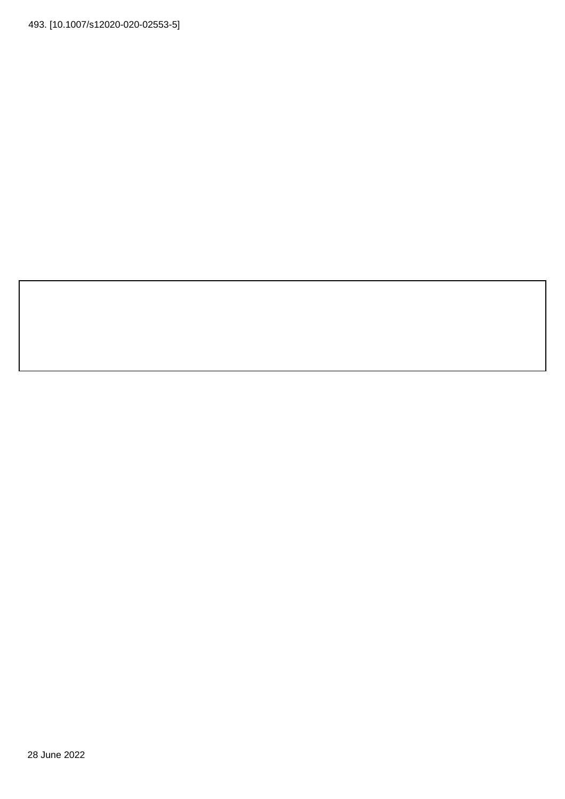493. [10.1007/s12020-020-02553-5]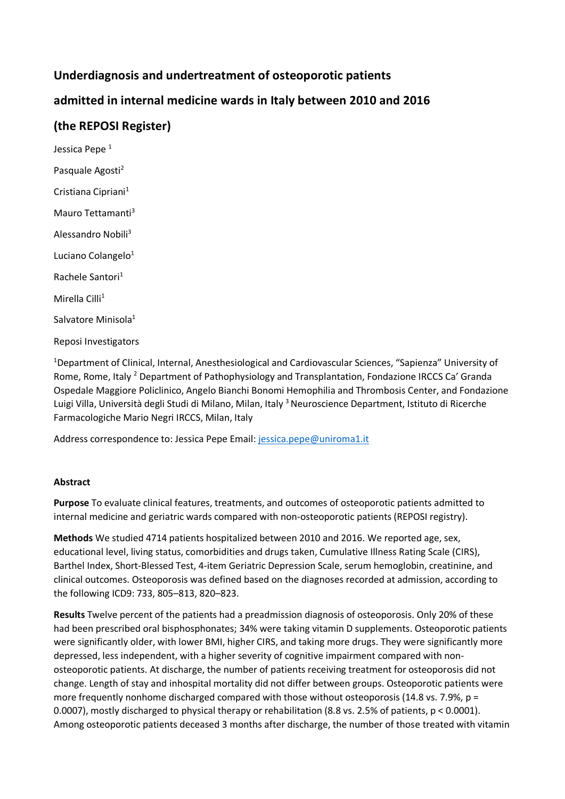# **Underdiagnosis and undertreatment of osteoporotic patients**

# **admitted in internal medicine wards in Italy between 2010 and 2016**

## **(the REPOSI Register)**

Jessica Pepe<sup>1</sup> Pasquale Agosti<sup>2</sup> Cristiana Cipriani<sup>1</sup> Mauro Tettamanti<sup>3</sup> Alessandro Nobili<sup>3</sup> Luciano Colangelo<sup>1</sup> Rachele Santori<sup>1</sup> Mirella Cilli<sup>1</sup> Salvatore Minisola<sup>1</sup> Reposi Investigators

<sup>1</sup>Department of Clinical, Internal, Anesthesiological and Cardiovascular Sciences, "Sapienza" University of Rome, Rome, Italy <sup>2</sup> Department of Pathophysiology and Transplantation, Fondazione IRCCS Ca' Granda Ospedale Maggiore Policlinico, Angelo Bianchi Bonomi Hemophilia and Thrombosis Center, and Fondazione Luigi Villa, Università degli Studi di Milano, Milan, Italy <sup>3</sup> Neuroscience Department, Istituto di Ricerche Farmacologiche Mario Negri IRCCS, Milan, Italy

Address correspondence to: Jessica Pepe Email: [jessica.pepe@uniroma1.it](mailto:jessica.pepe@uniroma1.it)

## **Abstract**

**Purpose** To evaluate clinical features, treatments, and outcomes of osteoporotic patients admitted to internal medicine and geriatric wards compared with non-osteoporotic patients (REPOSI registry).

**Methods** We studied 4714 patients hospitalized between 2010 and 2016. We reported age, sex, educational level, living status, comorbidities and drugs taken, Cumulative Illness Rating Scale (CIRS), Barthel Index, Short-Blessed Test, 4-item Geriatric Depression Scale, serum hemoglobin, creatinine, and clinical outcomes. Osteoporosis was defined based on the diagnoses recorded at admission, according to the following ICD9: 733, 805–813, 820–823.

**Results** Twelve percent of the patients had a preadmission diagnosis of osteoporosis. Only 20% of these had been prescribed oral bisphosphonates; 34% were taking vitamin D supplements. Osteoporotic patients were significantly older, with lower BMI, higher CIRS, and taking more drugs. They were significantly more depressed, less independent, with a higher severity of cognitive impairment compared with nonosteoporotic patients. At discharge, the number of patients receiving treatment for osteoporosis did not change. Length of stay and inhospital mortality did not differ between groups. Osteoporotic patients were more frequently nonhome discharged compared with those without osteoporosis (14.8 vs. 7.9%,  $p =$ 0.0007), mostly discharged to physical therapy or rehabilitation (8.8 vs. 2.5% of patients, p < 0.0001). Among osteoporotic patients deceased 3 months after discharge, the number of those treated with vitamin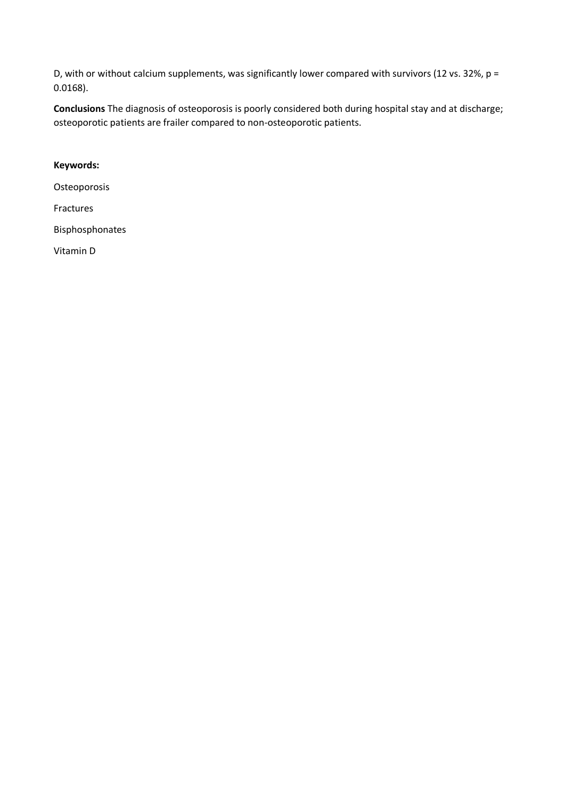D, with or without calcium supplements, was significantly lower compared with survivors (12 vs. 32%, p = 0.0168).

**Conclusions** The diagnosis of osteoporosis is poorly considered both during hospital stay and at discharge; osteoporotic patients are frailer compared to non-osteoporotic patients.

## **Keywords:**

**Osteoporosis** 

Fractures

Bisphosphonates

Vitamin D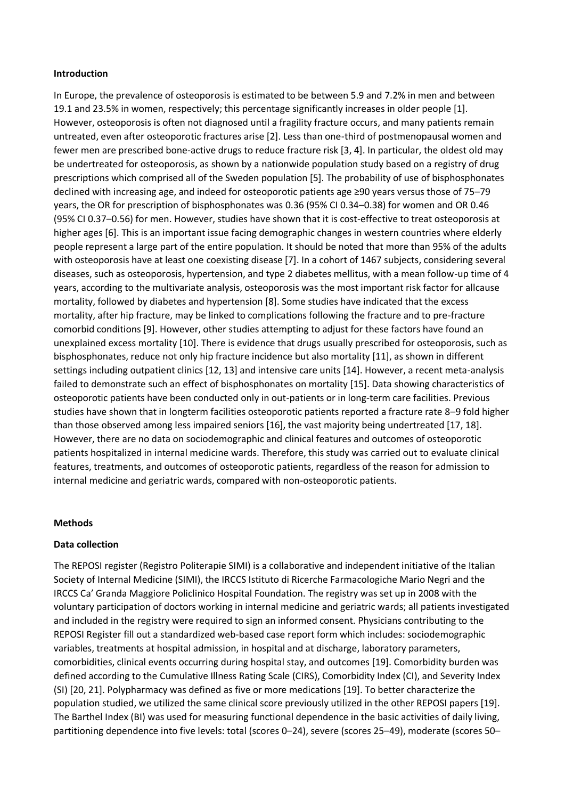#### **Introduction**

In Europe, the prevalence of osteoporosis is estimated to be between 5.9 and 7.2% in men and between 19.1 and 23.5% in women, respectively; this percentage significantly increases in older people [1]. However, osteoporosis is often not diagnosed until a fragility fracture occurs, and many patients remain untreated, even after osteoporotic fractures arise [2]. Less than one-third of postmenopausal women and fewer men are prescribed bone-active drugs to reduce fracture risk [3, 4]. In particular, the oldest old may be undertreated for osteoporosis, as shown by a nationwide population study based on a registry of drug prescriptions which comprised all of the Sweden population [5]. The probability of use of bisphosphonates declined with increasing age, and indeed for osteoporotic patients age ≥90 years versus those of 75–79 years, the OR for prescription of bisphosphonates was 0.36 (95% CI 0.34–0.38) for women and OR 0.46 (95% CI 0.37–0.56) for men. However, studies have shown that it is cost-effective to treat osteoporosis at higher ages [6]. This is an important issue facing demographic changes in western countries where elderly people represent a large part of the entire population. It should be noted that more than 95% of the adults with osteoporosis have at least one coexisting disease [7]. In a cohort of 1467 subjects, considering several diseases, such as osteoporosis, hypertension, and type 2 diabetes mellitus, with a mean follow-up time of 4 years, according to the multivariate analysis, osteoporosis was the most important risk factor for allcause mortality, followed by diabetes and hypertension [8]. Some studies have indicated that the excess mortality, after hip fracture, may be linked to complications following the fracture and to pre-fracture comorbid conditions [9]. However, other studies attempting to adjust for these factors have found an unexplained excess mortality [10]. There is evidence that drugs usually prescribed for osteoporosis, such as bisphosphonates, reduce not only hip fracture incidence but also mortality [11], as shown in different settings including outpatient clinics [12, 13] and intensive care units [14]. However, a recent meta-analysis failed to demonstrate such an effect of bisphosphonates on mortality [15]. Data showing characteristics of osteoporotic patients have been conducted only in out-patients or in long-term care facilities. Previous studies have shown that in longterm facilities osteoporotic patients reported a fracture rate 8–9 fold higher than those observed among less impaired seniors [16], the vast majority being undertreated [17, 18]. However, there are no data on sociodemographic and clinical features and outcomes of osteoporotic patients hospitalized in internal medicine wards. Therefore, this study was carried out to evaluate clinical features, treatments, and outcomes of osteoporotic patients, regardless of the reason for admission to internal medicine and geriatric wards, compared with non-osteoporotic patients.

### **Methods**

### **Data collection**

The REPOSI register (Registro Politerapie SIMI) is a collaborative and independent initiative of the Italian Society of Internal Medicine (SIMI), the IRCCS Istituto di Ricerche Farmacologiche Mario Negri and the IRCCS Ca' Granda Maggiore Policlinico Hospital Foundation. The registry was set up in 2008 with the voluntary participation of doctors working in internal medicine and geriatric wards; all patients investigated and included in the registry were required to sign an informed consent. Physicians contributing to the REPOSI Register fill out a standardized web-based case report form which includes: sociodemographic variables, treatments at hospital admission, in hospital and at discharge, laboratory parameters, comorbidities, clinical events occurring during hospital stay, and outcomes [19]. Comorbidity burden was defined according to the Cumulative Illness Rating Scale (CIRS), Comorbidity Index (CI), and Severity Index (SI) [20, 21]. Polypharmacy was defined as five or more medications [19]. To better characterize the population studied, we utilized the same clinical score previously utilized in the other REPOSI papers [19]. The Barthel Index (BI) was used for measuring functional dependence in the basic activities of daily living, partitioning dependence into five levels: total (scores 0–24), severe (scores 25–49), moderate (scores 50–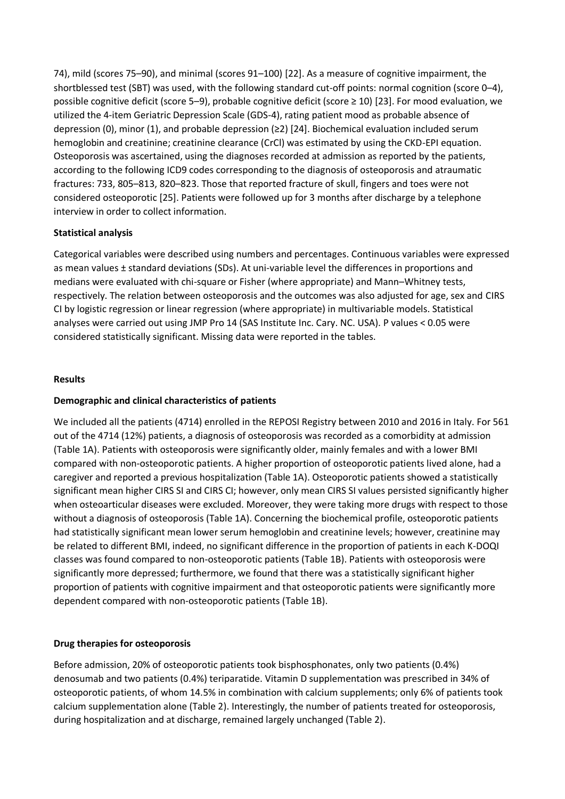74), mild (scores 75–90), and minimal (scores 91–100) [22]. As a measure of cognitive impairment, the shortblessed test (SBT) was used, with the following standard cut-off points: normal cognition (score 0–4), possible cognitive deficit (score 5–9), probable cognitive deficit (score ≥ 10) [23]. For mood evaluation, we utilized the 4-item Geriatric Depression Scale (GDS-4), rating patient mood as probable absence of depression (0), minor (1), and probable depression (≥2) [24]. Biochemical evaluation included serum hemoglobin and creatinine; creatinine clearance (CrCl) was estimated by using the CKD-EPI equation. Osteoporosis was ascertained, using the diagnoses recorded at admission as reported by the patients, according to the following ICD9 codes corresponding to the diagnosis of osteoporosis and atraumatic fractures: 733, 805–813, 820–823. Those that reported fracture of skull, fingers and toes were not considered osteoporotic [25]. Patients were followed up for 3 months after discharge by a telephone interview in order to collect information.

## **Statistical analysis**

Categorical variables were described using numbers and percentages. Continuous variables were expressed as mean values ± standard deviations (SDs). At uni-variable level the differences in proportions and medians were evaluated with chi-square or Fisher (where appropriate) and Mann–Whitney tests, respectively. The relation between osteoporosis and the outcomes was also adjusted for age, sex and CIRS CI by logistic regression or linear regression (where appropriate) in multivariable models. Statistical analyses were carried out using JMP Pro 14 (SAS Institute Inc. Cary. NC. USA). P values < 0.05 were considered statistically significant. Missing data were reported in the tables.

## **Results**

## **Demographic and clinical characteristics of patients**

We included all the patients (4714) enrolled in the REPOSI Registry between 2010 and 2016 in Italy. For 561 out of the 4714 (12%) patients, a diagnosis of osteoporosis was recorded as a comorbidity at admission (Table 1A). Patients with osteoporosis were significantly older, mainly females and with a lower BMI compared with non-osteoporotic patients. A higher proportion of osteoporotic patients lived alone, had a caregiver and reported a previous hospitalization (Table 1A). Osteoporotic patients showed a statistically significant mean higher CIRS SI and CIRS CI; however, only mean CIRS SI values persisted significantly higher when osteoarticular diseases were excluded. Moreover, they were taking more drugs with respect to those without a diagnosis of osteoporosis (Table 1A). Concerning the biochemical profile, osteoporotic patients had statistically significant mean lower serum hemoglobin and creatinine levels; however, creatinine may be related to different BMI, indeed, no significant difference in the proportion of patients in each K-DOQI classes was found compared to non-osteoporotic patients (Table 1B). Patients with osteoporosis were significantly more depressed; furthermore, we found that there was a statistically significant higher proportion of patients with cognitive impairment and that osteoporotic patients were significantly more dependent compared with non-osteoporotic patients (Table 1B).

## **Drug therapies for osteoporosis**

Before admission, 20% of osteoporotic patients took bisphosphonates, only two patients (0.4%) denosumab and two patients (0.4%) teriparatide. Vitamin D supplementation was prescribed in 34% of osteoporotic patients, of whom 14.5% in combination with calcium supplements; only 6% of patients took calcium supplementation alone (Table 2). Interestingly, the number of patients treated for osteoporosis, during hospitalization and at discharge, remained largely unchanged (Table 2).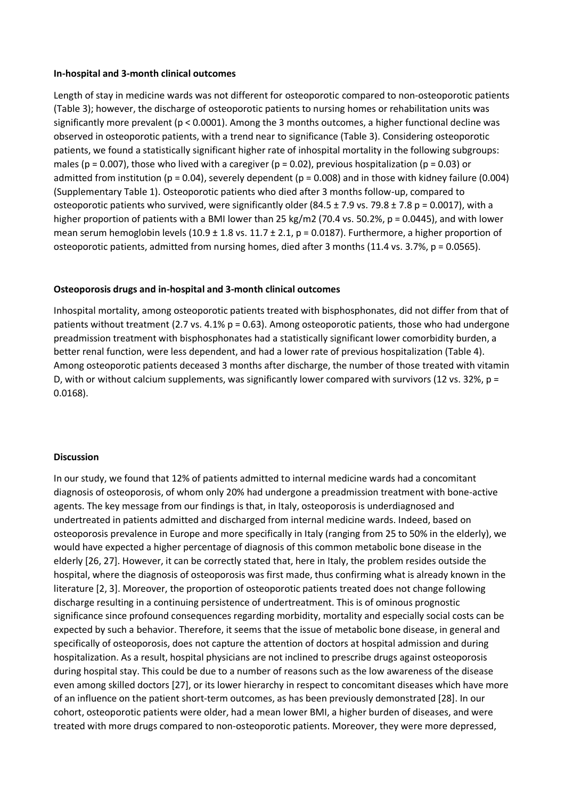#### **In-hospital and 3-month clinical outcomes**

Length of stay in medicine wards was not different for osteoporotic compared to non-osteoporotic patients (Table 3); however, the discharge of osteoporotic patients to nursing homes or rehabilitation units was significantly more prevalent ( $p < 0.0001$ ). Among the 3 months outcomes, a higher functional decline was observed in osteoporotic patients, with a trend near to significance (Table 3). Considering osteoporotic patients, we found a statistically significant higher rate of inhospital mortality in the following subgroups: males (p = 0.007), those who lived with a caregiver (p = 0.02), previous hospitalization (p = 0.03) or admitted from institution ( $p = 0.04$ ), severely dependent ( $p = 0.008$ ) and in those with kidney failure (0.004) (Supplementary Table 1). Osteoporotic patients who died after 3 months follow-up, compared to osteoporotic patients who survived, were significantly older (84.5  $\pm$  7.9 vs. 79.8  $\pm$  7.8 p = 0.0017), with a higher proportion of patients with a BMI lower than 25 kg/m2 (70.4 vs. 50.2%, p = 0.0445), and with lower mean serum hemoglobin levels (10.9  $\pm$  1.8 vs. 11.7  $\pm$  2.1, p = 0.0187). Furthermore, a higher proportion of osteoporotic patients, admitted from nursing homes, died after 3 months (11.4 vs. 3.7%, p = 0.0565).

### **Osteoporosis drugs and in-hospital and 3-month clinical outcomes**

Inhospital mortality, among osteoporotic patients treated with bisphosphonates, did not differ from that of patients without treatment (2.7 vs. 4.1%  $p = 0.63$ ). Among osteoporotic patients, those who had undergone preadmission treatment with bisphosphonates had a statistically significant lower comorbidity burden, a better renal function, were less dependent, and had a lower rate of previous hospitalization (Table 4). Among osteoporotic patients deceased 3 months after discharge, the number of those treated with vitamin D, with or without calcium supplements, was significantly lower compared with survivors (12 vs. 32%,  $p =$ 0.0168).

#### **Discussion**

In our study, we found that 12% of patients admitted to internal medicine wards had a concomitant diagnosis of osteoporosis, of whom only 20% had undergone a preadmission treatment with bone-active agents. The key message from our findings is that, in Italy, osteoporosis is underdiagnosed and undertreated in patients admitted and discharged from internal medicine wards. Indeed, based on osteoporosis prevalence in Europe and more specifically in Italy (ranging from 25 to 50% in the elderly), we would have expected a higher percentage of diagnosis of this common metabolic bone disease in the elderly [26, 27]. However, it can be correctly stated that, here in Italy, the problem resides outside the hospital, where the diagnosis of osteoporosis was first made, thus confirming what is already known in the literature [2, 3]. Moreover, the proportion of osteoporotic patients treated does not change following discharge resulting in a continuing persistence of undertreatment. This is of ominous prognostic significance since profound consequences regarding morbidity, mortality and especially social costs can be expected by such a behavior. Therefore, it seems that the issue of metabolic bone disease, in general and specifically of osteoporosis, does not capture the attention of doctors at hospital admission and during hospitalization. As a result, hospital physicians are not inclined to prescribe drugs against osteoporosis during hospital stay. This could be due to a number of reasons such as the low awareness of the disease even among skilled doctors [27], or its lower hierarchy in respect to concomitant diseases which have more of an influence on the patient short-term outcomes, as has been previously demonstrated [28]. In our cohort, osteoporotic patients were older, had a mean lower BMI, a higher burden of diseases, and were treated with more drugs compared to non-osteoporotic patients. Moreover, they were more depressed,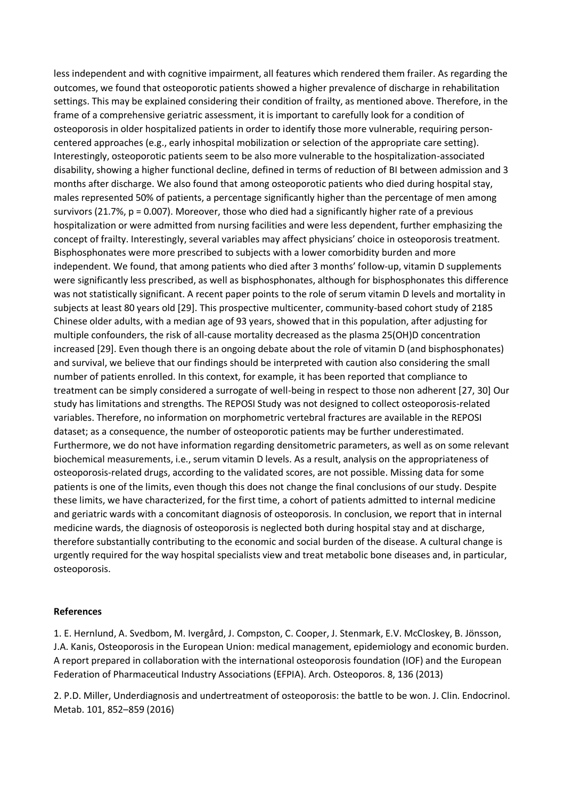less independent and with cognitive impairment, all features which rendered them frailer. As regarding the outcomes, we found that osteoporotic patients showed a higher prevalence of discharge in rehabilitation settings. This may be explained considering their condition of frailty, as mentioned above. Therefore, in the frame of a comprehensive geriatric assessment, it is important to carefully look for a condition of osteoporosis in older hospitalized patients in order to identify those more vulnerable, requiring personcentered approaches (e.g., early inhospital mobilization or selection of the appropriate care setting). Interestingly, osteoporotic patients seem to be also more vulnerable to the hospitalization-associated disability, showing a higher functional decline, defined in terms of reduction of BI between admission and 3 months after discharge. We also found that among osteoporotic patients who died during hospital stay, males represented 50% of patients, a percentage significantly higher than the percentage of men among survivors (21.7%, p = 0.007). Moreover, those who died had a significantly higher rate of a previous hospitalization or were admitted from nursing facilities and were less dependent, further emphasizing the concept of frailty. Interestingly, several variables may affect physicians' choice in osteoporosis treatment. Bisphosphonates were more prescribed to subjects with a lower comorbidity burden and more independent. We found, that among patients who died after 3 months' follow-up, vitamin D supplements were significantly less prescribed, as well as bisphosphonates, although for bisphosphonates this difference was not statistically significant. A recent paper points to the role of serum vitamin D levels and mortality in subjects at least 80 years old [29]. This prospective multicenter, community-based cohort study of 2185 Chinese older adults, with a median age of 93 years, showed that in this population, after adjusting for multiple confounders, the risk of all-cause mortality decreased as the plasma 25(OH)D concentration increased [29]. Even though there is an ongoing debate about the role of vitamin D (and bisphosphonates) and survival, we believe that our findings should be interpreted with caution also considering the small number of patients enrolled. In this context, for example, it has been reported that compliance to treatment can be simply considered a surrogate of well-being in respect to those non adherent [27, 30] Our study has limitations and strengths. The REPOSI Study was not designed to collect osteoporosis-related variables. Therefore, no information on morphometric vertebral fractures are available in the REPOSI dataset; as a consequence, the number of osteoporotic patients may be further underestimated. Furthermore, we do not have information regarding densitometric parameters, as well as on some relevant biochemical measurements, i.e., serum vitamin D levels. As a result, analysis on the appropriateness of osteoporosis-related drugs, according to the validated scores, are not possible. Missing data for some patients is one of the limits, even though this does not change the final conclusions of our study. Despite these limits, we have characterized, for the first time, a cohort of patients admitted to internal medicine and geriatric wards with a concomitant diagnosis of osteoporosis. In conclusion, we report that in internal medicine wards, the diagnosis of osteoporosis is neglected both during hospital stay and at discharge, therefore substantially contributing to the economic and social burden of the disease. A cultural change is urgently required for the way hospital specialists view and treat metabolic bone diseases and, in particular, osteoporosis.

### **References**

1. E. Hernlund, A. Svedbom, M. Ivergård, J. Compston, C. Cooper, J. Stenmark, E.V. McCloskey, B. Jönsson, J.A. Kanis, Osteoporosis in the European Union: medical management, epidemiology and economic burden. A report prepared in collaboration with the international osteoporosis foundation (IOF) and the European Federation of Pharmaceutical Industry Associations (EFPIA). Arch. Osteoporos. 8, 136 (2013)

2. P.D. Miller, Underdiagnosis and undertreatment of osteoporosis: the battle to be won. J. Clin. Endocrinol. Metab. 101, 852–859 (2016)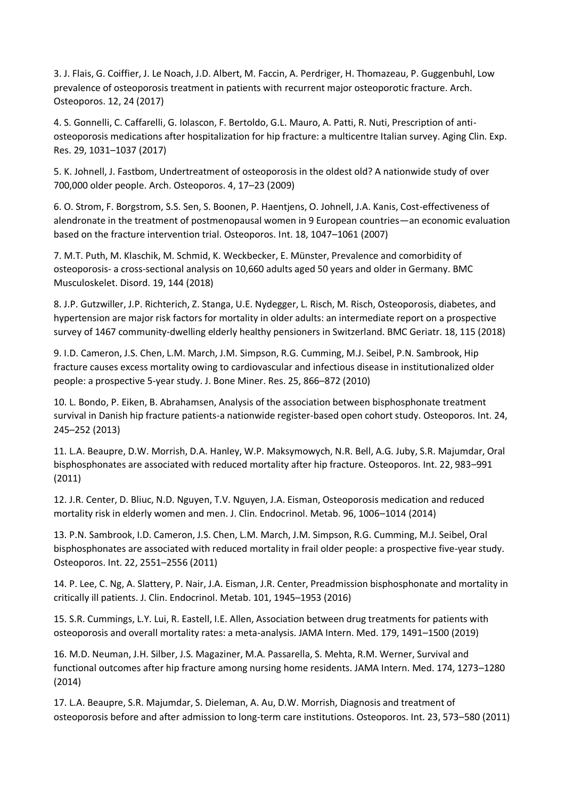3. J. Flais, G. Coiffier, J. Le Noach, J.D. Albert, M. Faccin, A. Perdriger, H. Thomazeau, P. Guggenbuhl, Low prevalence of osteoporosis treatment in patients with recurrent major osteoporotic fracture. Arch. Osteoporos. 12, 24 (2017)

4. S. Gonnelli, C. Caffarelli, G. Iolascon, F. Bertoldo, G.L. Mauro, A. Patti, R. Nuti, Prescription of antiosteoporosis medications after hospitalization for hip fracture: a multicentre Italian survey. Aging Clin. Exp. Res. 29, 1031–1037 (2017)

5. K. Johnell, J. Fastbom, Undertreatment of osteoporosis in the oldest old? A nationwide study of over 700,000 older people. Arch. Osteoporos. 4, 17–23 (2009)

6. O. Strom, F. Borgstrom, S.S. Sen, S. Boonen, P. Haentjens, O. Johnell, J.A. Kanis, Cost-effectiveness of alendronate in the treatment of postmenopausal women in 9 European countries—an economic evaluation based on the fracture intervention trial. Osteoporos. Int. 18, 1047–1061 (2007)

7. M.T. Puth, M. Klaschik, M. Schmid, K. Weckbecker, E. Münster, Prevalence and comorbidity of osteoporosis- a cross-sectional analysis on 10,660 adults aged 50 years and older in Germany. BMC Musculoskelet. Disord. 19, 144 (2018)

8. J.P. Gutzwiller, J.P. Richterich, Z. Stanga, U.E. Nydegger, L. Risch, M. Risch, Osteoporosis, diabetes, and hypertension are major risk factors for mortality in older adults: an intermediate report on a prospective survey of 1467 community-dwelling elderly healthy pensioners in Switzerland. BMC Geriatr. 18, 115 (2018)

9. I.D. Cameron, J.S. Chen, L.M. March, J.M. Simpson, R.G. Cumming, M.J. Seibel, P.N. Sambrook, Hip fracture causes excess mortality owing to cardiovascular and infectious disease in institutionalized older people: a prospective 5-year study. J. Bone Miner. Res. 25, 866–872 (2010)

10. L. Bondo, P. Eiken, B. Abrahamsen, Analysis of the association between bisphosphonate treatment survival in Danish hip fracture patients-a nationwide register-based open cohort study. Osteoporos. Int. 24, 245–252 (2013)

11. L.A. Beaupre, D.W. Morrish, D.A. Hanley, W.P. Maksymowych, N.R. Bell, A.G. Juby, S.R. Majumdar, Oral bisphosphonates are associated with reduced mortality after hip fracture. Osteoporos. Int. 22, 983–991 (2011)

12. J.R. Center, D. Bliuc, N.D. Nguyen, T.V. Nguyen, J.A. Eisman, Osteoporosis medication and reduced mortality risk in elderly women and men. J. Clin. Endocrinol. Metab. 96, 1006–1014 (2014)

13. P.N. Sambrook, I.D. Cameron, J.S. Chen, L.M. March, J.M. Simpson, R.G. Cumming, M.J. Seibel, Oral bisphosphonates are associated with reduced mortality in frail older people: a prospective five-year study. Osteoporos. Int. 22, 2551–2556 (2011)

14. P. Lee, C. Ng, A. Slattery, P. Nair, J.A. Eisman, J.R. Center, Preadmission bisphosphonate and mortality in critically ill patients. J. Clin. Endocrinol. Metab. 101, 1945–1953 (2016)

15. S.R. Cummings, L.Y. Lui, R. Eastell, I.E. Allen, Association between drug treatments for patients with osteoporosis and overall mortality rates: a meta-analysis. JAMA Intern. Med. 179, 1491–1500 (2019)

16. M.D. Neuman, J.H. Silber, J.S. Magaziner, M.A. Passarella, S. Mehta, R.M. Werner, Survival and functional outcomes after hip fracture among nursing home residents. JAMA Intern. Med. 174, 1273–1280 (2014)

17. L.A. Beaupre, S.R. Majumdar, S. Dieleman, A. Au, D.W. Morrish, Diagnosis and treatment of osteoporosis before and after admission to long-term care institutions. Osteoporos. Int. 23, 573–580 (2011)